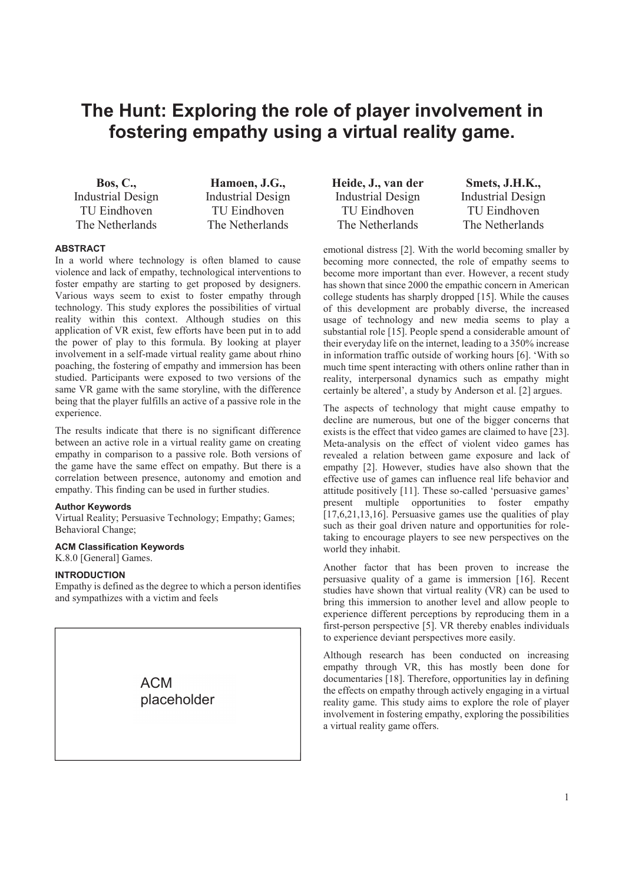# **The Hunt: Exploring the role of player involvement in fostering empathy using a virtual reality game.**

**Bos, C.,** Industrial Design TU Eindhoven The Netherlands

**Hamoen, J.G.,** Industrial Design TU Eindhoven The Netherlands

# **ABSTRACT**

In a world where technology is often blamed to cause violence and lack of empathy, technological interventions to foster empathy are starting to get proposed by designers. Various ways seem to exist to foster empathy through technology. This study explores the possibilities of virtual reality within this context. Although studies on this application of VR exist, few efforts have been put in to add the power of play to this formula. By looking at player involvement in a self-made virtual reality game about rhino poaching, the fostering of empathy and immersion has been studied. Participants were exposed to two versions of the same VR game with the same storyline, with the difference being that the player fulfills an active of a passive role in the experience.

The results indicate that there is no significant difference between an active role in a virtual reality game on creating empathy in comparison to a passive role. Both versions of the game have the same effect on empathy. But there is a correlation between presence, autonomy and emotion and empathy. This finding can be used in further studies.

# **Author Keywords**

Virtual Reality; Persuasive Technology; Empathy; Games; Behavioral Change;

# **ACM Classification Keywords**

K.8.0 [General] Games.

# **INTRODUCTION**

Empathy is defined as the degree to which a person identifies and sympathizes with a victim and feels

> ACM placeholder

**Heide, J., van der** Industrial Design TU Eindhoven The Netherlands

**Smets, J.H.K.,** Industrial Design TU Eindhoven The Netherlands

emotional distress [2]. With the world becoming smaller by becoming more connected, the role of empathy seems to become more important than ever. However, a recent study has shown that since 2000 the empathic concern in American college students has sharply dropped [15]. While the causes of this development are probably diverse, the increased usage of technology and new media seems to play a substantial role [15]. People spend a considerable amount of their everyday life on the internet, leading to a 350% increase in information traffic outside of working hours [6]. 'With so much time spent interacting with others online rather than in reality, interpersonal dynamics such as empathy might certainly be altered', a study by Anderson et al. [2] argues.

The aspects of technology that might cause empathy to decline are numerous, but one of the bigger concerns that exists is the effect that video games are claimed to have [23]. Meta-analysis on the effect of violent video games has revealed a relation between game exposure and lack of empathy [2]. However, studies have also shown that the effective use of games can influence real life behavior and attitude positively [11]. These so-called 'persuasive games' present multiple opportunities to foster empathy [17,6,21,13,16]. Persuasive games use the qualities of play such as their goal driven nature and opportunities for roletaking to encourage players to see new perspectives on the world they inhabit.

Another factor that has been proven to increase the persuasive quality of a game is immersion [16]. Recent studies have shown that virtual reality (VR) can be used to bring this immersion to another level and allow people to experience different perceptions by reproducing them in a first-person perspective [5]. VR thereby enables individuals to experience deviant perspectives more easily.

Although research has been conducted on increasing empathy through VR, this has mostly been done for documentaries [18]. Therefore, opportunities lay in defining the effects on empathy through actively engaging in a virtual reality game. This study aims to explore the role of player involvement in fostering empathy, exploring the possibilities a virtual reality game offers.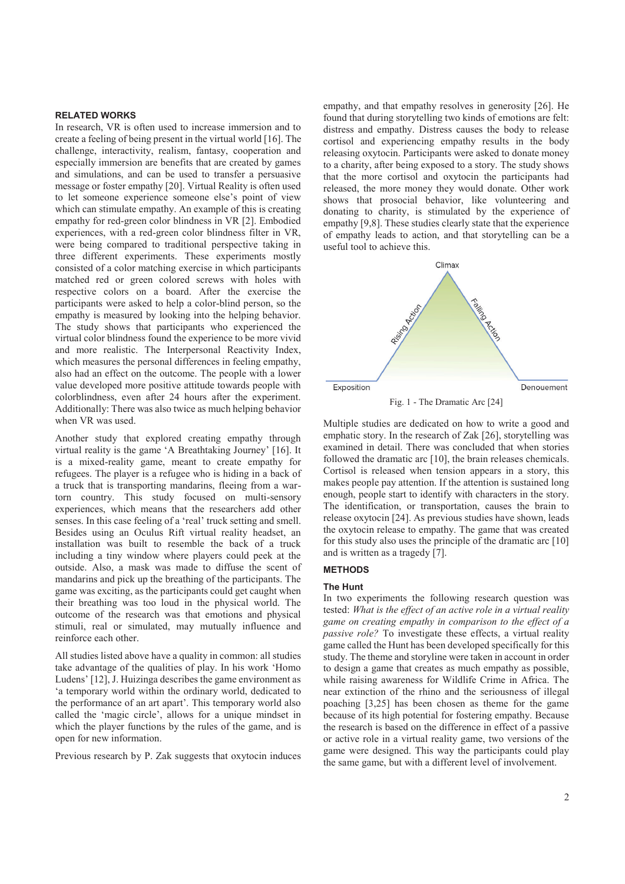## **RELATED WORKS**

In research, VR is often used to increase immersion and to create a feeling of being present in the virtual world [16]. The challenge, interactivity, realism, fantasy, cooperation and especially immersion are benefits that are created by games and simulations, and can be used to transfer a persuasive message or foster empathy [20]. Virtual Reality is often used to let someone experience someone else's point of view which can stimulate empathy. An example of this is creating empathy for red-green color blindness in VR [2]. Embodied experiences, with a red-green color blindness filter in VR, were being compared to traditional perspective taking in three different experiments. These experiments mostly consisted of a color matching exercise in which participants matched red or green colored screws with holes with respective colors on a board. After the exercise the participants were asked to help a color-blind person, so the empathy is measured by looking into the helping behavior. The study shows that participants who experienced the virtual color blindness found the experience to be more vivid and more realistic. The Interpersonal Reactivity Index, which measures the personal differences in feeling empathy, also had an effect on the outcome. The people with a lower value developed more positive attitude towards people with colorblindness, even after 24 hours after the experiment. Additionally: There was also twice as much helping behavior when VR was used.

Another study that explored creating empathy through virtual reality is the game 'A Breathtaking Journey' [16]. It is a mixed-reality game, meant to create empathy for refugees. The player is a refugee who is hiding in a back of a truck that is transporting mandarins, fleeing from a wartorn country. This study focused on multi-sensory experiences, which means that the researchers add other senses. In this case feeling of a 'real' truck setting and smell. Besides using an Oculus Rift virtual reality headset, an installation was built to resemble the back of a truck including a tiny window where players could peek at the outside. Also, a mask was made to diffuse the scent of mandarins and pick up the breathing of the participants. The game was exciting, as the participants could get caught when their breathing was too loud in the physical world. The outcome of the research was that emotions and physical stimuli, real or simulated, may mutually influence and reinforce each other.

All studies listed above have a quality in common: all studies take advantage of the qualities of play. In his work 'Homo Ludens' [12], J. Huizinga describes the game environment as 'a temporary world within the ordinary world, dedicated to the performance of an art apart'. This temporary world also called the 'magic circle', allows for a unique mindset in which the player functions by the rules of the game, and is open for new information.

Previous research by P. Zak suggests that oxytocin induces

empathy, and that empathy resolves in generosity [26]. He found that during storytelling two kinds of emotions are felt: distress and empathy. Distress causes the body to release cortisol and experiencing empathy results in the body releasing oxytocin. Participants were asked to donate money to a charity, after being exposed to a story. The study shows that the more cortisol and oxytocin the participants had released, the more money they would donate. Other work shows that prosocial behavior, like volunteering and donating to charity, is stimulated by the experience of empathy [9,8]. These studies clearly state that the experience of empathy leads to action, and that storytelling can be a useful tool to achieve this.



Multiple studies are dedicated on how to write a good and emphatic story. In the research of Zak [26], storytelling was examined in detail. There was concluded that when stories followed the dramatic arc [10], the brain releases chemicals. Cortisol is released when tension appears in a story, this makes people pay attention. If the attention is sustained long enough, people start to identify with characters in the story. The identification, or transportation, causes the brain to release oxytocin [24]. As previous studies have shown, leads the oxytocin release to empathy. The game that was created for this study also uses the principle of the dramatic arc [10] and is written as a tragedy [7].

# **METHODS**

### **The Hunt**

In two experiments the following research question was tested: *What is the effect of an active role in a virtual reality game on creating empathy in comparison to the effect of a passive role?* To investigate these effects, a virtual reality game called the Hunt has been developed specifically for this study. The theme and storyline were taken in account in order to design a game that creates as much empathy as possible, while raising awareness for Wildlife Crime in Africa. The near extinction of the rhino and the seriousness of illegal poaching [3,25] has been chosen as theme for the game because of its high potential for fostering empathy. Because the research is based on the difference in effect of a passive or active role in a virtual reality game, two versions of the game were designed. This way the participants could play the same game, but with a different level of involvement.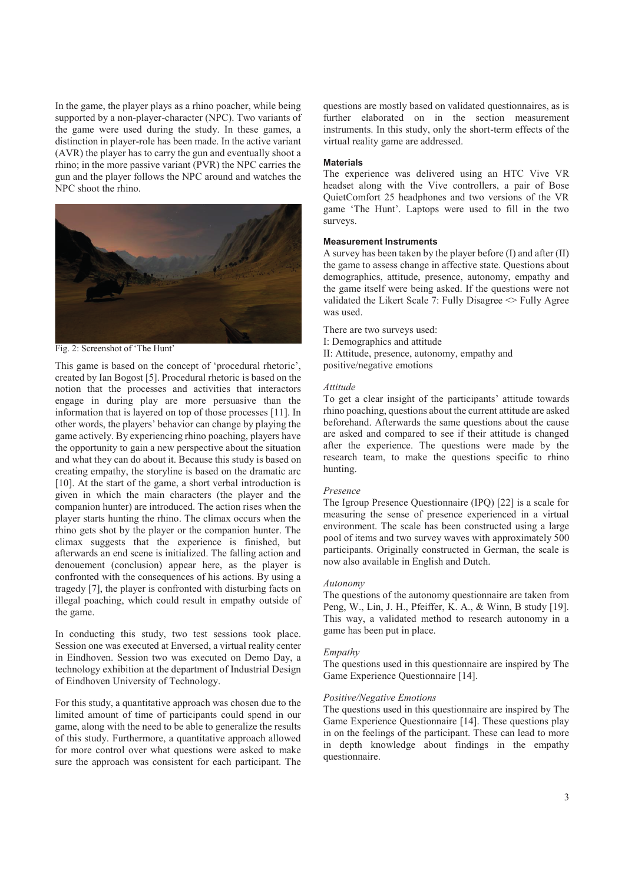In the game, the player plays as a rhino poacher, while being supported by a non-player-character (NPC). Two variants of the game were used during the study. In these games, a distinction in player-role has been made. In the active variant (AVR) the player has to carry the gun and eventually shoot a rhino; in the more passive variant (PVR) the NPC carries the gun and the player follows the NPC around and watches the NPC shoot the rhino.



Fig. 2: Screenshot of 'The Hunt'

This game is based on the concept of 'procedural rhetoric', created by Ian Bogost [5]. Procedural rhetoric is based on the notion that the processes and activities that interactors engage in during play are more persuasive than the information that is layered on top of those processes [11]. In other words, the players' behavior can change by playing the game actively. By experiencing rhino poaching, players have the opportunity to gain a new perspective about the situation and what they can do about it. Because this study is based on creating empathy, the storyline is based on the dramatic arc [10]. At the start of the game, a short verbal introduction is given in which the main characters (the player and the companion hunter) are introduced. The action rises when the player starts hunting the rhino. The climax occurs when the rhino gets shot by the player or the companion hunter. The climax suggests that the experience is finished, but afterwards an end scene is initialized. The falling action and denouement (conclusion) appear here, as the player is confronted with the consequences of his actions. By using a tragedy [7], the player is confronted with disturbing facts on illegal poaching, which could result in empathy outside of the game.

In conducting this study, two test sessions took place. Session one was executed at Enversed, a virtual reality center in Eindhoven. Session two was executed on Demo Day, a technology exhibition at the department of Industrial Design of Eindhoven University of Technology.

For this study, a quantitative approach was chosen due to the limited amount of time of participants could spend in our game, along with the need to be able to generalize the results of this study. Furthermore, a quantitative approach allowed for more control over what questions were asked to make sure the approach was consistent for each participant. The questions are mostly based on validated questionnaires, as is further elaborated on in the section measurement instruments. In this study, only the short-term effects of the virtual reality game are addressed.

#### **Materials**

The experience was delivered using an HTC Vive VR headset along with the Vive controllers, a pair of Bose QuietComfort 25 headphones and two versions of the VR game 'The Hunt'. Laptops were used to fill in the two surveys.

# **Measurement Instruments**

A survey has been taken by the player before (I) and after (II) the game to assess change in affective state. Questions about demographics, attitude, presence, autonomy, empathy and the game itself were being asked. If the questions were not validated the Likert Scale 7: Fully Disagree  $\leq$  Fully Agree was used.

There are two surveys used:

I: Demographics and attitude

II: Attitude, presence, autonomy, empathy and positive/negative emotions

#### *Attitude*

To get a clear insight of the participants' attitude towards rhino poaching, questions about the current attitude are asked beforehand. Afterwards the same questions about the cause are asked and compared to see if their attitude is changed after the experience. The questions were made by the research team, to make the questions specific to rhino hunting.

#### *Presence*

The Igroup Presence Questionnaire (IPQ) [22] is a scale for measuring the sense of presence experienced in a virtual environment. The scale has been constructed using a large pool of items and two survey waves with approximately 500 participants. Originally constructed in German, the scale is now also available in English and Dutch.

#### *Autonomy*

The questions of the autonomy questionnaire are taken from Peng, W., Lin, J. H., Pfeiffer, K. A., & Winn, B study [19]. This way, a validated method to research autonomy in a game has been put in place.

## *Empathy*

The questions used in this questionnaire are inspired by The Game Experience Questionnaire [14].

#### *Positive/Negative Emotions*

The questions used in this questionnaire are inspired by The Game Experience Questionnaire [14]. These questions play in on the feelings of the participant. These can lead to more in depth knowledge about findings in the empathy questionnaire.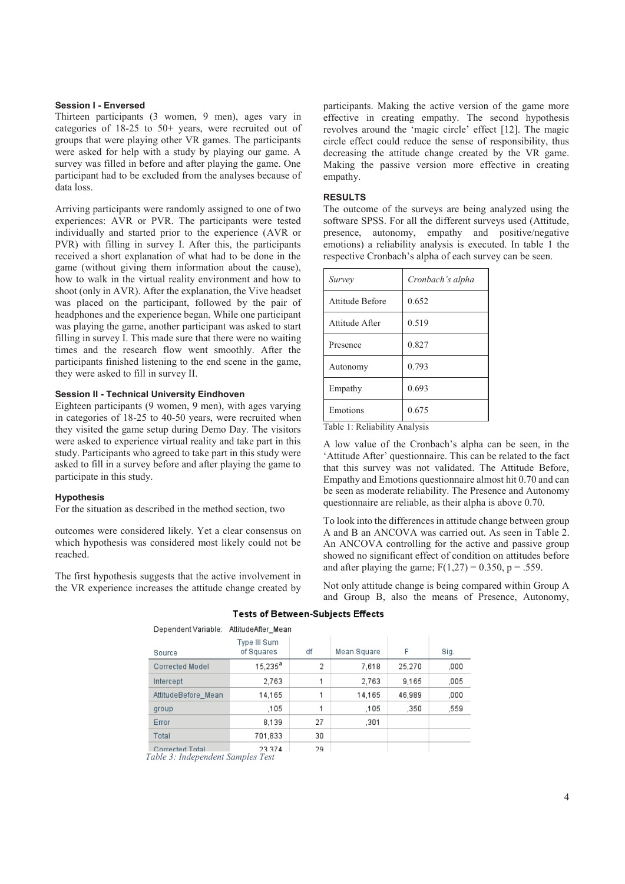#### **Session I - Enversed**

Thirteen participants (3 women, 9 men), ages vary in categories of 18-25 to 50+ years, were recruited out of groups that were playing other VR games. The participants were asked for help with a study by playing our game. A survey was filled in before and after playing the game. One participant had to be excluded from the analyses because of data loss.

Arriving participants were randomly assigned to one of two experiences: AVR or PVR. The participants were tested individually and started prior to the experience (AVR or PVR) with filling in survey I. After this, the participants received a short explanation of what had to be done in the game (without giving them information about the cause), how to walk in the virtual reality environment and how to shoot (only in AVR). After the explanation, the Vive headset was placed on the participant, followed by the pair of headphones and the experience began. While one participant was playing the game, another participant was asked to start filling in survey I. This made sure that there were no waiting times and the research flow went smoothly. After the participants finished listening to the end scene in the game, they were asked to fill in survey II.

## **Session II - Technical University Eindhoven**

Eighteen participants (9 women, 9 men), with ages varying in categories of 18-25 to 40-50 years, were recruited when they visited the game setup during Demo Day. The visitors were asked to experience virtual reality and take part in this study. Participants who agreed to take part in this study were asked to fill in a survey before and after playing the game to participate in this study.

#### **Hypothesis**

For the situation as described in the method section, two

outcomes were considered likely. Yet a clear consensus on which hypothesis was considered most likely could not be reached.

The first hypothesis suggests that the active involvement in the VR experience increases the attitude change created by

participants. Making the active version of the game more effective in creating empathy. The second hypothesis revolves around the 'magic circle' effect [12]. The magic circle effect could reduce the sense of responsibility, thus decreasing the attitude change created by the VR game. Making the passive version more effective in creating empathy.

### **RESULTS**

The outcome of the surveys are being analyzed using the software SPSS. For all the different surveys used (Attitude, presence, autonomy, empathy and positive/negative emotions) a reliability analysis is executed. In table 1 the respective Cronbach's alpha of each survey can be seen.

| Survey          | Cronbach's alpha |
|-----------------|------------------|
| Attitude Before | 0.652            |
| Attitude After  | 0.519            |
| Presence        | 0.827            |
| Autonomy        | 0.793            |
| Empathy         | 0.693            |
| Emotions        | 0.675            |

Table 1: Reliability Analysis

A low value of the Cronbach's alpha can be seen, in the 'Attitude After' questionnaire. This can be related to the fact that this survey was not validated. The Attitude Before, Empathy and Emotions questionnaire almost hit 0.70 and can be seen as moderate reliability. The Presence and Autonomy questionnaire are reliable, as their alpha is above 0.70.

To look into the differences in attitude change between group A and B an ANCOVA was carried out. As seen in Table 2. An ANCOVA controlling for the active and passive group showed no significant effect of condition on attitudes before and after playing the game;  $F(1,27) = 0.350$ , p = .559.

Not only attitude change is being compared within Group A and Group B, also the means of Presence, Autonomy,

| Dependent Variable:    | AttitudeAfter Mean         |    |             |        |      |
|------------------------|----------------------------|----|-------------|--------|------|
| Source                 | Type III Sum<br>of Squares | df | Mean Square | F      | Sig. |
| Corrected Model        | $15.235^{\text{a}}$        | 2  | 7,618       | 25,270 | ,000 |
| Intercept              | 2.763                      | 1  | 2.763       | 9.165  | ,005 |
| AttitudeBefore Mean    | 14.165                     |    | 14.165      | 46.989 | .000 |
| group                  | .105                       | 1  | .105        | .350   | 559. |
| Error                  | 8.139                      | 27 | .301        |        |      |
| Total                  | 701,833                    | 30 |             |        |      |
| <b>Corrected Total</b> | 23.374                     | 29 |             |        |      |

## **Tests of Between-Subjects Effects**

*Table 3: Independent Samples Test*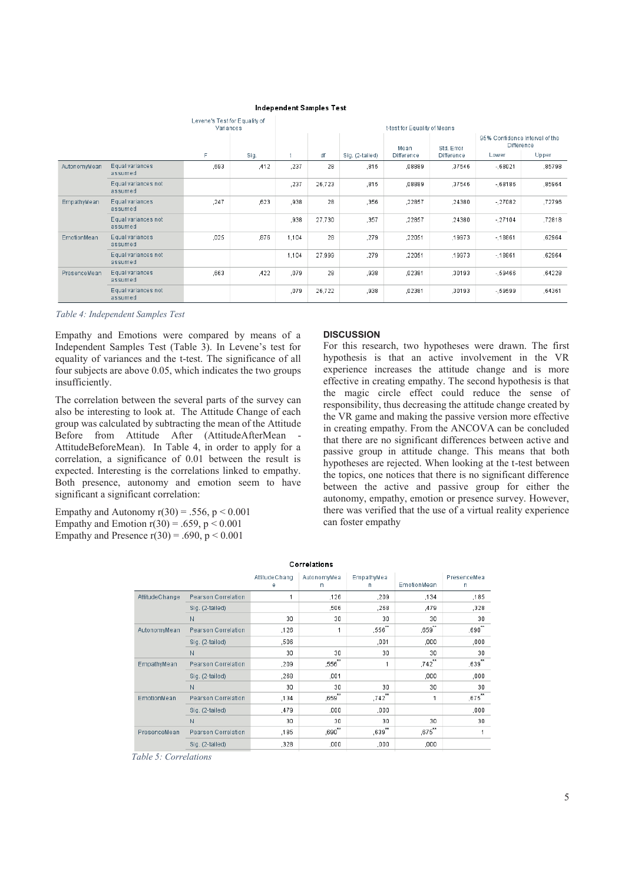|              |                                | Levene's Test for Equality of<br>Variances |      | t-test for Equality of Means |        |                 |                           |                                 |                                                              |        |
|--------------|--------------------------------|--------------------------------------------|------|------------------------------|--------|-----------------|---------------------------|---------------------------------|--------------------------------------------------------------|--------|
|              |                                | F                                          | Sig. |                              | df     | Sig. (2-tailed) | Mean<br><b>Difference</b> | Std. Error<br><b>Difference</b> | 95% Confidence Interval of the<br><b>Difference</b><br>Lower | Upper  |
| AutonomyMean | Equal variances<br>assumed     | .693                                       | .412 | ,237                         | 28     | ,815            | ,08889                    | ,37546                          | $-0.68021$                                                   | ,85798 |
|              | Equal variances not<br>assumed |                                            |      | ,237                         | 26,723 | ,815            | ,08889                    | ,37546                          | $-68186$                                                     | ,85964 |
| EmpathyMean  | Equal variances<br>assumed     | .247                                       | ,623 | ,938                         | 28     | ,356            | ,22857                    | ,24380                          | $-27082$                                                     | ,72796 |
|              | Equal variances not<br>assumed |                                            |      | ,938                         | 27,730 | ,357            | ,22857                    | ,24380                          | $-27104$                                                     | ,72818 |
| EmotionMean  | Equal variances<br>assumed     | ,025                                       | ,876 | 1.104                        | 28     | ,279            | ,22051                    | ,19973                          | $-18861$                                                     | ,62964 |
|              | Equal variances not<br>assumed |                                            |      | 1,104                        | 27,999 | .279            | ,22051                    | ,19973                          | $-18861$                                                     | ,62964 |
| PresenceMean | Equal variances<br>assumed     | .663                                       | ,422 | ,079                         | 28     | .938            | ,02381                    | ,30193                          | - 59466                                                      | ,64228 |
|              | Equal variances not<br>assumed |                                            |      | ,079                         | 26,722 | ,938            | ,02381                    | ,30193                          | - 59599                                                      | ,64361 |

## **Independent Samples Test**

*Table 4: Independent Samples Test*

Empathy and Emotions were compared by means of a Independent Samples Test (Table 3). In Levene's test for equality of variances and the t-test. The significance of all four subjects are above 0.05, which indicates the two groups insufficiently.

The correlation between the several parts of the survey can also be interesting to look at. The Attitude Change of each group was calculated by subtracting the mean of the Attitude Before from Attitude After (AttitudeAfterMean - AttitudeBeforeMean). In Table 4, in order to apply for a correlation, a significance of 0.01 between the result is expected. Interesting is the correlations linked to empathy. Both presence, autonomy and emotion seem to have significant a significant correlation:

Empathy and Autonomy  $r(30) = .556$ ,  $p < 0.001$ Empathy and Emotion  $r(30) = .659$ ,  $p < 0.001$ Empathy and Presence  $r(30) = .690$ ,  $p < 0.001$ 

## **DISCUSSION**

For this research, two hypotheses were drawn. The first hypothesis is that an active involvement in the VR experience increases the attitude change and is more effective in creating empathy. The second hypothesis is that the magic circle effect could reduce the sense of responsibility, thus decreasing the attitude change created by the VR game and making the passive version more effective in creating empathy. From the ANCOVA can be concluded that there are no significant differences between active and passive group in attitude change. This means that both hypotheses are rejected. When looking at the t-test between the topics, one notices that there is no significant difference between the active and passive group for either the autonomy, empathy, emotion or presence survey. However, there was verified that the use of a virtual reality experience can foster empathy

| Correlations   |                     |                    |                  |                 |             |                  |  |
|----------------|---------------------|--------------------|------------------|-----------------|-------------|------------------|--|
|                |                     | AttitudeChang<br>е | AutonomyMea<br>n | EmpathyMea<br>n | EmotionMean | PresenceMea<br>n |  |
| AttitudeChange | Pearson Correlation |                    | .126             | .209            | .134        | .185             |  |
|                | Sig. (2-tailed)     |                    | ,506             | .268            | ,479        | ,328             |  |
|                | N                   | 30                 | 30               | 30              | 30          | 30               |  |
| AutonomyMean   | Pearson Correlation | .126               | 1                | ,556"           | .659"       | ,690**           |  |
|                | Sig. (2-tailed)     | ,506               |                  | ,001            | ,000        | ,000             |  |
|                | N                   | 30                 | 30               | 30              | 30          | 30               |  |
| EmpathyMean    | Pearson Correlation | .209               | ,556**           | 1               | ,742        | ,639             |  |
|                | Sig. (2-tailed)     | .268               | ,001             |                 | ,000        | .000             |  |
|                | N                   | 30                 | 30               | 30              | 30          | 30               |  |
| EmotionMean    | Pearson Correlation | ,134               | ,659"            | .742            | 1           | ,675"            |  |
|                | Sig. (2-tailed)     | .479               | ,000             | ,000            |             | ,000             |  |
|                | N                   | 30                 | 30               | 30              | 30          | 30               |  |
| PresenceMean   | Pearson Correlation | ,185               | ,690**           | ,639"           | .675"       | 1                |  |
|                | Sig. (2-tailed)     | ,328               | ,000             | ,000            | ,000        |                  |  |

*Table 5: Correlations*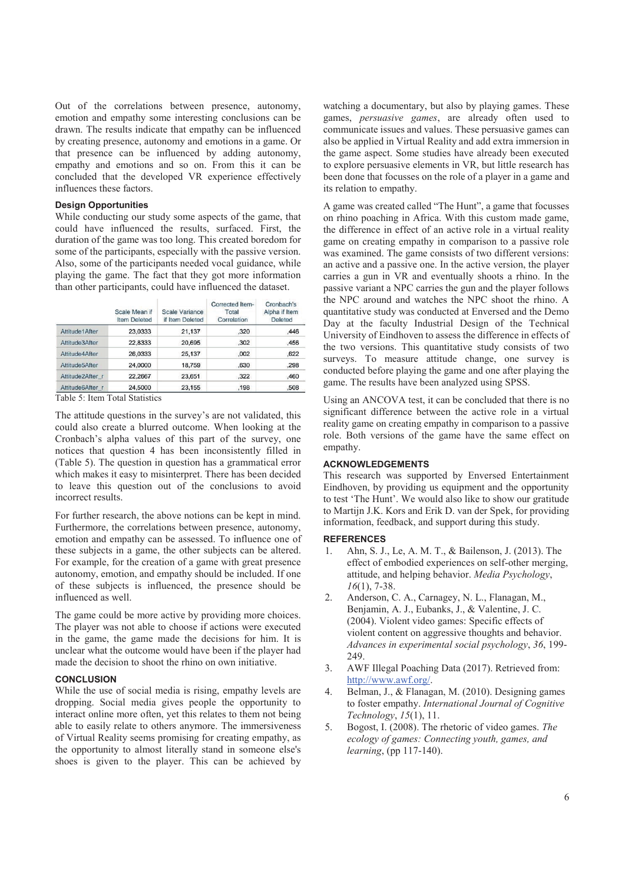Out of the correlations between presence, autonomy, emotion and empathy some interesting conclusions can be drawn. The results indicate that empathy can be influenced by creating presence, autonomy and emotions in a game. Or that presence can be influenced by adding autonomy, empathy and emotions and so on. From this it can be concluded that the developed VR experience effectively influences these factors.

## **Design Opportunities**

While conducting our study some aspects of the game, that could have influenced the results, surfaced. First, the duration of the game was too long. This created boredom for some of the participants, especially with the passive version. Also, some of the participants needed vocal guidance, while playing the game. The fact that they got more information than other participants, could have influenced the dataset.

|                  | Scale Mean if<br><b>Item Deleted</b> | Scale Variance<br>if Item Deleted | Corrected Item-<br>Total<br>Correlation | Cronbach's<br>Alpha if Item<br><b>Deleted</b> |
|------------------|--------------------------------------|-----------------------------------|-----------------------------------------|-----------------------------------------------|
| Attitude1After   | 23,0333                              | 21.137                            | .320                                    | ,446                                          |
| Attitude3After   | 22,8333                              | 20.695                            | .302                                    | .456                                          |
| Attitude4After   | 26,0333                              | 25,137                            | .002                                    | .622                                          |
| Attitude5After   | 24,0000                              | 18,759                            | .630                                    | .298                                          |
| Attitude2After r | 22,2667                              | 23,651                            | .322                                    | .460                                          |
| Attitude6After r | 24,5000                              | 23,155                            | .198                                    | .508                                          |

Table 5: Item Total Statistics

The attitude questions in the survey's are not validated, this could also create a blurred outcome. When looking at the Cronbach's alpha values of this part of the survey, one notices that question 4 has been inconsistently filled in (Table 5). The question in question has a grammatical error which makes it easy to misinterpret. There has been decided to leave this question out of the conclusions to avoid incorrect results.

For further research, the above notions can be kept in mind. Furthermore, the correlations between presence, autonomy, emotion and empathy can be assessed. To influence one of these subjects in a game, the other subjects can be altered. For example, for the creation of a game with great presence autonomy, emotion, and empathy should be included. If one of these subjects is influenced, the presence should be influenced as well.

The game could be more active by providing more choices. The player was not able to choose if actions were executed in the game, the game made the decisions for him. It is unclear what the outcome would have been if the player had made the decision to shoot the rhino on own initiative.

## **CONCLUSION**

While the use of social media is rising, empathy levels are dropping. Social media gives people the opportunity to interact online more often, yet this relates to them not being able to easily relate to others anymore. The immersiveness of Virtual Reality seems promising for creating empathy, as the opportunity to almost literally stand in someone else's shoes is given to the player. This can be achieved by watching a documentary, but also by playing games. These games, *persuasive games*, are already often used to communicate issues and values. These persuasive games can also be applied in Virtual Reality and add extra immersion in the game aspect. Some studies have already been executed to explore persuasive elements in VR, but little research has been done that focusses on the role of a player in a game and its relation to empathy.

A game was created called "The Hunt", a game that focusses on rhino poaching in Africa. With this custom made game, the difference in effect of an active role in a virtual reality game on creating empathy in comparison to a passive role was examined. The game consists of two different versions: an active and a passive one. In the active version, the player carries a gun in VR and eventually shoots a rhino. In the passive variant a NPC carries the gun and the player follows the NPC around and watches the NPC shoot the rhino. A quantitative study was conducted at Enversed and the Demo Day at the faculty Industrial Design of the Technical University of Eindhoven to assess the difference in effects of the two versions. This quantitative study consists of two surveys. To measure attitude change, one survey is conducted before playing the game and one after playing the game. The results have been analyzed using SPSS.

Using an ANCOVA test, it can be concluded that there is no significant difference between the active role in a virtual reality game on creating empathy in comparison to a passive role. Both versions of the game have the same effect on empathy.

# **ACKNOWLEDGEMENTS**

This research was supported by Enversed Entertainment Eindhoven, by providing us equipment and the opportunity to test 'The Hunt'. We would also like to show our gratitude to Martijn J.K. Kors and Erik D. van der Spek, for providing information, feedback, and support during this study.

#### **REFERENCES**

- 1. Ahn, S. J., Le, A. M. T., & Bailenson, J. (2013). The effect of embodied experiences on self-other merging, attitude, and helping behavior. *Media Psychology*, *16*(1), 7-38.
- 2. Anderson, C. A., Carnagey, N. L., Flanagan, M., Benjamin, A. J., Eubanks, J., & Valentine, J. C. (2004). Violent video games: Specific effects of violent content on aggressive thoughts and behavior. *Advances in experimental social psychology*, *36*, 199- 249.
- 3. AWF Illegal Poaching Data (2017). Retrieved from: http://www.awf.org/.
- 4. Belman, J., & Flanagan, M. (2010). Designing games to foster empathy. *International Journal of Cognitive Technology*, *15*(1), 11.
- 5. Bogost, I. (2008). The rhetoric of video games. *The ecology of games: Connecting youth, games, and learning*, (pp 117-140).